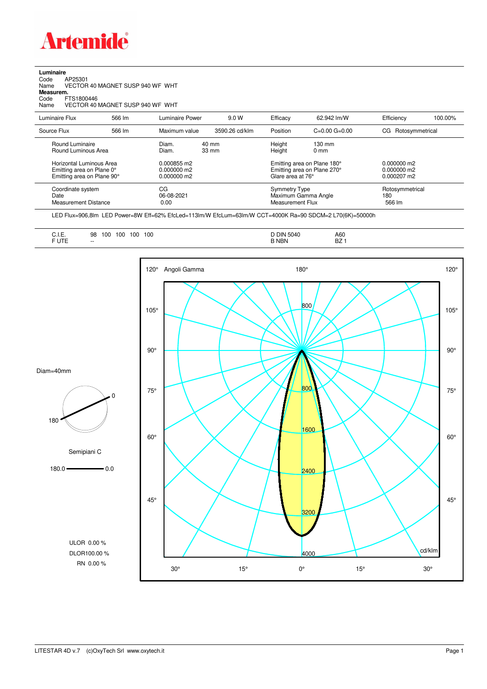

| Luminaire |        |
|-----------|--------|
|           | 0.0000 |

Code AP25301 Name VECTOR 40 MAGNET SUSP 940 WF WHT Code A<br>Name V<br>**Measurem.** 

Code FTS1800446<br>Name VECTOR 40 VECTOR 40 MAGNET SUSP 940 WF WHT

| Luminaire Flux                                                                                                                | 566 lm | Luminaire Power                                                 | 9.0 W                    | Efficacy | 62.942 lm/W                                                                                                                               | Efficiency             | 100.00%         |
|-------------------------------------------------------------------------------------------------------------------------------|--------|-----------------------------------------------------------------|--------------------------|----------|-------------------------------------------------------------------------------------------------------------------------------------------|------------------------|-----------------|
| Source Flux                                                                                                                   | 566 lm | Maximum value                                                   | 3590.26 cd/klm           | Position | $C=0.00$ $G=0.00$                                                                                                                         | Rotosymmetrical<br>CG. |                 |
| Round Luminaire<br>Round Luminous Area<br>Horizontal Luminous Area<br>Emitting area on Plane 0°<br>Emitting area on Plane 90° |        | Diam.<br>Diam.<br>0.000855 m2<br>$0.000000$ m2<br>$0.000000$ m2 | 40 mm<br>$33 \text{ mm}$ |          | Height<br>$130 \text{ mm}$<br>Height<br>$0 \text{ mm}$<br>Emitting area on Plane 180°<br>Emitting area on Plane 270°<br>Glare area at 76° |                        |                 |
| Coordinate system<br>Date<br><b>Measurement Distance</b>                                                                      |        | CG<br>06-08-2021<br>0.00                                        |                          |          | <b>Symmetry Type</b><br>Maximum Gamma Angle<br>Measurement Flux                                                                           |                        | Rotosymmetrical |

LED Flux=906,8lm LED Power=8W Eff=62% EfcLed=113lm/W EfcLum=63lm/W CCT=4000K Ra=90 SDCM=2 L70(6K)=50000h